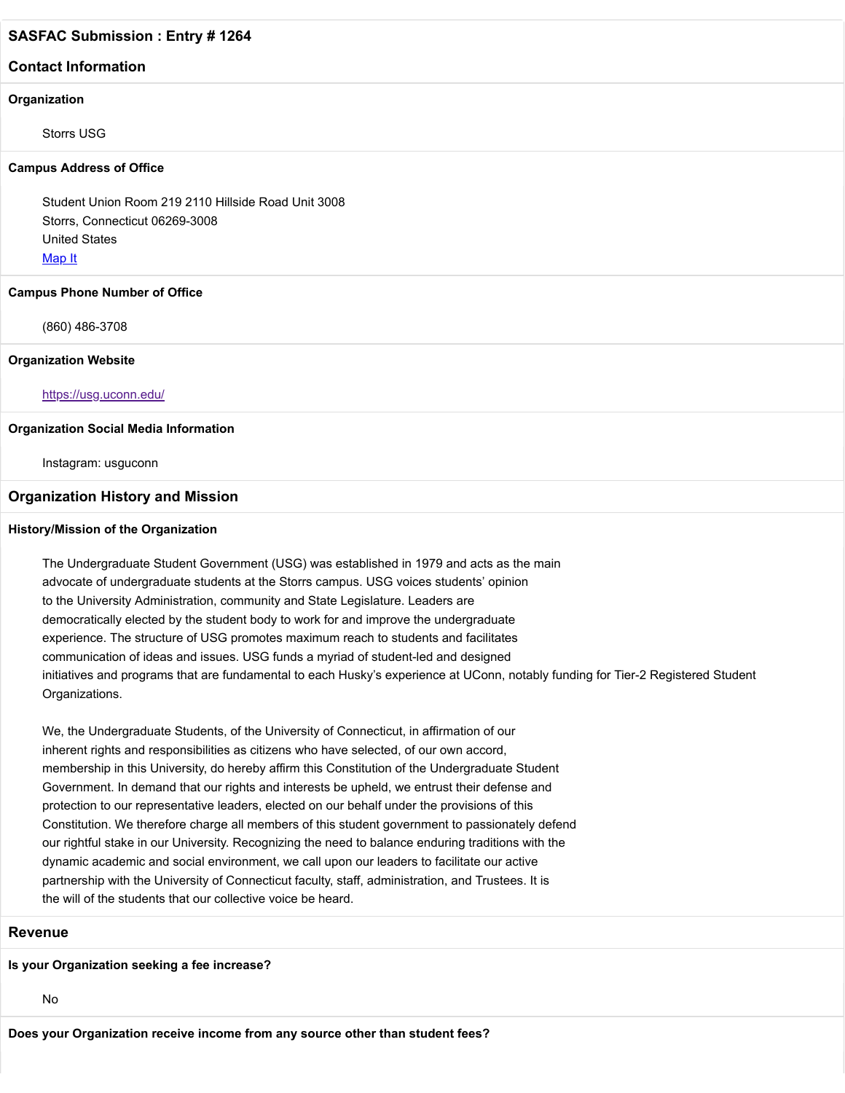## **Contact Information**

#### **Organization**

Storrs USG

#### **Campus Address of Office**

Student Union Room 219 2110 Hillside Road Unit 3008 Storrs, Connecticut 06269-3008 United States [Map It](http://maps.google.com/maps?q=Student+Union+Room+219+2110+Hillside+Road+Unit+3008+Storrs%2C+Connecticut+06269-3008+United+States)

#### **Campus Phone Number of Office**

(860) 486-3708

#### **Organization Website**

#### <https://usg.uconn.edu/>

#### **Organization Social Media Information**

Instagram: usguconn

#### **Organization History and Mission**

### **History/Mission of the Organization**

The Undergraduate Student Government (USG) was established in 1979 and acts as the main advocate of undergraduate students at the Storrs campus. USG voices students' opinion to the University Administration, community and State Legislature. Leaders are democratically elected by the student body to work for and improve the undergraduate experience. The structure of USG promotes maximum reach to students and facilitates communication of ideas and issues. USG funds a myriad of student-led and designed initiatives and programs that are fundamental to each Husky's experience at UConn, notably funding for Tier-2 Registered Student Organizations.

We, the Undergraduate Students, of the University of Connecticut, in affirmation of our inherent rights and responsibilities as citizens who have selected, of our own accord, membership in this University, do hereby affirm this Constitution of the Undergraduate Student Government. In demand that our rights and interests be upheld, we entrust their defense and protection to our representative leaders, elected on our behalf under the provisions of this Constitution. We therefore charge all members of this student government to passionately defend our rightful stake in our University. Recognizing the need to balance enduring traditions with the dynamic academic and social environment, we call upon our leaders to facilitate our active partnership with the University of Connecticut faculty, staff, administration, and Trustees. It is the will of the students that our collective voice be heard.

#### **Revenue**

### **Is your Organization seeking a fee increase?**

No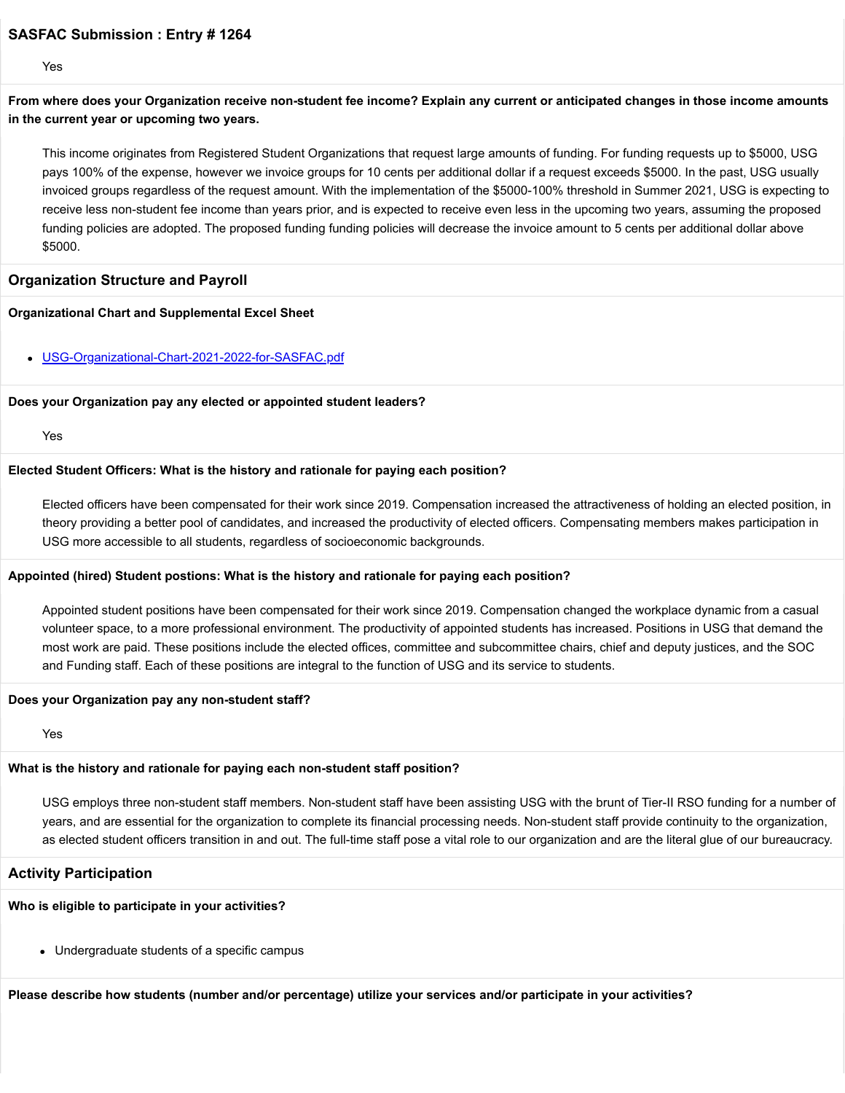Yes

**From where does your Organization receive non-student fee income? Explain any current or anticipated changes in those income amounts in the current year or upcoming two years.**

This income originates from Registered Student Organizations that request large amounts of funding. For funding requests up to \$5000, USG pays 100% of the expense, however we invoice groups for 10 cents per additional dollar if a request exceeds \$5000. In the past, USG usually invoiced groups regardless of the request amount. With the implementation of the \$5000-100% threshold in Summer 2021, USG is expecting to receive less non-student fee income than years prior, and is expected to receive even less in the upcoming two years, assuming the proposed funding policies are adopted. The proposed funding funding policies will decrease the invoice amount to 5 cents per additional dollar above \$5000.

### **Organization Structure and Payroll**

#### **Organizational Chart and Supplemental Excel Sheet**

[USG-Organizational-Chart-2021-2022-for-SASFAC.pdf](https://trusteeorgsupport.uconn.edu/index.php?gf-download=2022%2F02%2FUSG-Organizational-Chart-2021-2022-for-SASFAC.pdf&form-id=18&field-id=13&hash=b5e06f91dc1cac08692ab22f334891aa507505e05d34e03abc5c109c76556d9a)

#### **Does your Organization pay any elected or appointed student leaders?**

Yes

### **Elected Student Officers: What is the history and rationale for paying each position?**

Elected officers have been compensated for their work since 2019. Compensation increased the attractiveness of holding an elected position, in theory providing a better pool of candidates, and increased the productivity of elected officers. Compensating members makes participation in USG more accessible to all students, regardless of socioeconomic backgrounds.

#### **Appointed (hired) Student postions: What is the history and rationale for paying each position?**

Appointed student positions have been compensated for their work since 2019. Compensation changed the workplace dynamic from a casual volunteer space, to a more professional environment. The productivity of appointed students has increased. Positions in USG that demand the most work are paid. These positions include the elected offices, committee and subcommittee chairs, chief and deputy justices, and the SOC and Funding staff. Each of these positions are integral to the function of USG and its service to students.

#### **Does your Organization pay any non-student staff?**

Yes

# **What is the history and rationale for paying each non-student staff position?**

USG employs three non-student staff members. Non-student staff have been assisting USG with the brunt of Tier-II RSO funding for a number of years, and are essential for the organization to complete its financial processing needs. Non-student staff provide continuity to the organization, as elected student officers transition in and out. The full-time staff pose a vital role to our organization and are the literal glue of our bureaucracy.

# **Activity Participation**

# **Who is eligible to participate in your activities?**

Undergraduate students of a specific campus

**Please describe how students (number and/or percentage) utilize your services and/or participate in your activities?**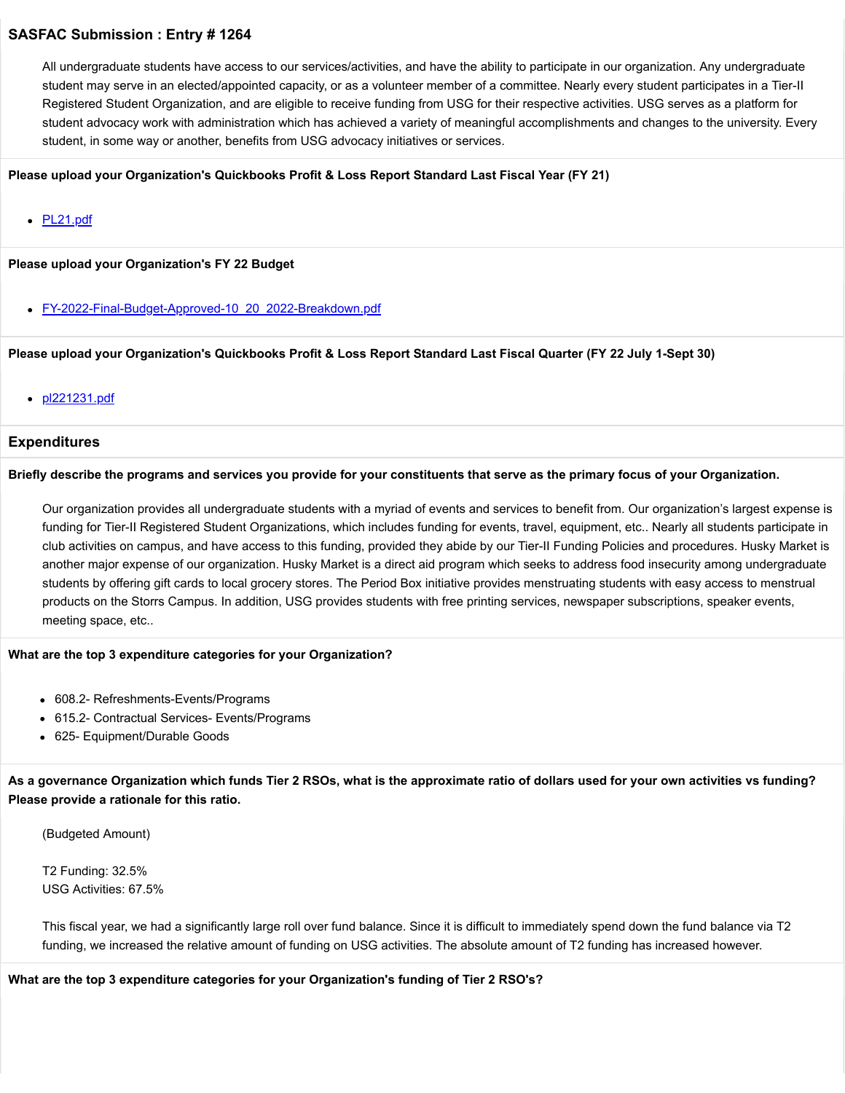All undergraduate students have access to our services/activities, and have the ability to participate in our organization. Any undergraduate student may serve in an elected/appointed capacity, or as a volunteer member of a committee. Nearly every student participates in a Tier-II Registered Student Organization, and are eligible to receive funding from USG for their respective activities. USG serves as a platform for student advocacy work with administration which has achieved a variety of meaningful accomplishments and changes to the university. Every student, in some way or another, benefits from USG advocacy initiatives or services.

### **Please upload your Organization's Quickbooks Profit & Loss Report Standard Last Fiscal Year (FY 21)**

• **[PL21.pdf](https://trusteeorgsupport.uconn.edu/index.php?gf-download=2022%2F02%2FPL21.pdf&form-id=18&field-id=62&hash=af7d436b1aa95c7103885ff3ff627ad98d279c96b5fd1fcb1f2628e40505348b)** 

### **Please upload your Organization's FY 22 Budget**

• [FY-2022-Final-Budget-Approved-10\\_20\\_2022-Breakdown.pdf](https://trusteeorgsupport.uconn.edu/index.php?gf-download=2022%2F02%2FFY-2022-Final-Budget-Approved-10_20_2022-Breakdown.pdf&form-id=18&field-id=65&hash=766c0c3fb32194c845bc4cfc0bc548b95a7555ebe3cb142dd1dbee65931a7b25)

### **Please upload your Organization's Quickbooks Profit & Loss Report Standard Last Fiscal Quarter (FY 22 July 1-Sept 30)**

• [pl221231.pdf](https://trusteeorgsupport.uconn.edu/index.php?gf-download=2022%2F02%2Fpl221231.pdf&form-id=18&field-id=64&hash=794f5c45c812096451c360a24692c725f56106e96e5e37805eeb30444177d752)

### **Expenditures**

### **Briefly describe the programs and services you provide for your constituents that serve as the primary focus of your Organization.**

Our organization provides all undergraduate students with a myriad of events and services to benefit from. Our organization's largest expense is funding for Tier-II Registered Student Organizations, which includes funding for events, travel, equipment, etc.. Nearly all students participate in club activities on campus, and have access to this funding, provided they abide by our Tier-II Funding Policies and procedures. Husky Market is another major expense of our organization. Husky Market is a direct aid program which seeks to address food insecurity among undergraduate students by offering gift cards to local grocery stores. The Period Box initiative provides menstruating students with easy access to menstrual products on the Storrs Campus. In addition, USG provides students with free printing services, newspaper subscriptions, speaker events, meeting space, etc..

#### **What are the top 3 expenditure categories for your Organization?**

- 608.2- Refreshments-Events/Programs
- 615.2- Contractual Services- Events/Programs
- 625- Equipment/Durable Goods

**As a governance Organization which funds Tier 2 RSOs, what is the approximate ratio of dollars used for your own activities vs funding? Please provide a rationale for this ratio.**

(Budgeted Amount)

T2 Funding: 32.5% USG Activities: 67.5%

This fiscal year, we had a significantly large roll over fund balance. Since it is difficult to immediately spend down the fund balance via T2 funding, we increased the relative amount of funding on USG activities. The absolute amount of T2 funding has increased however.

**What are the top 3 expenditure categories for your Organization's funding of Tier 2 RSO's?**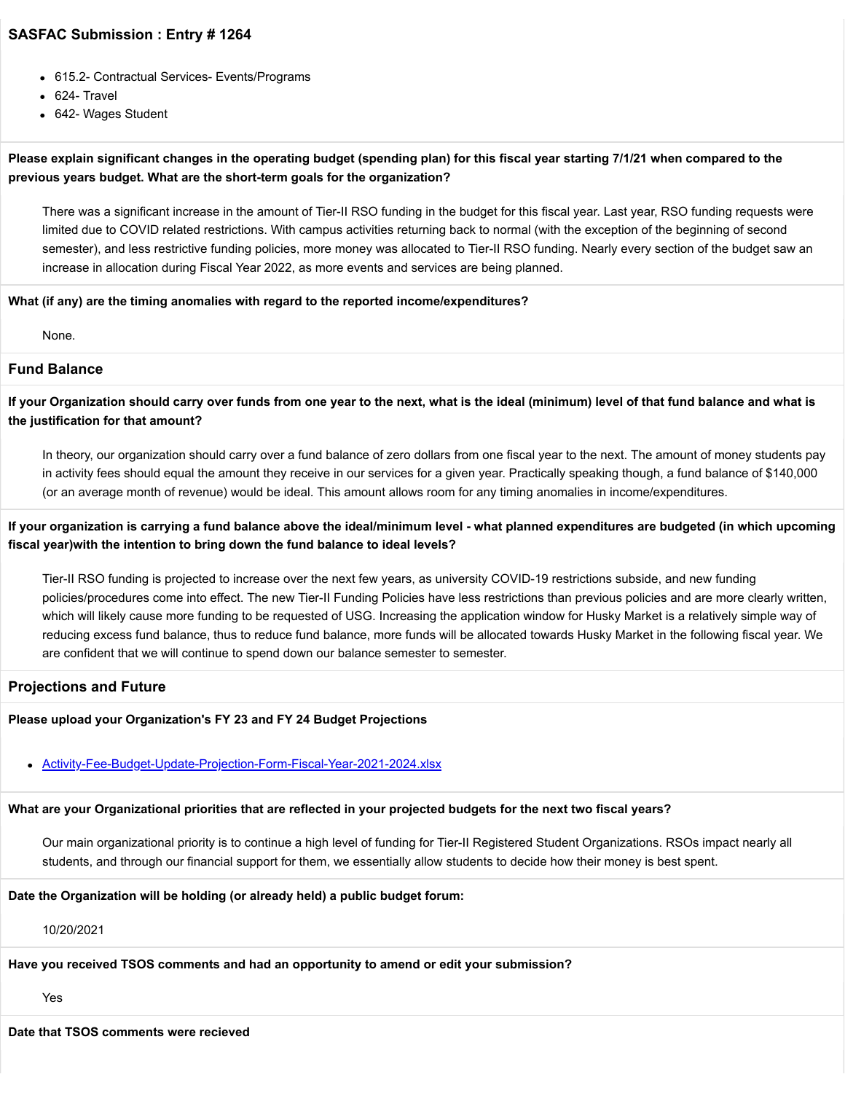- 615.2- Contractual Services- Events/Programs
- 624- Travel
- 642- Wages Student

# **Please explain significant changes in the operating budget (spending plan) for this fiscal year starting 7/1/21 when compared to the previous years budget. What are the short-term goals for the organization?**

There was a significant increase in the amount of Tier-II RSO funding in the budget for this fiscal year. Last year, RSO funding requests were limited due to COVID related restrictions. With campus activities returning back to normal (with the exception of the beginning of second semester), and less restrictive funding policies, more money was allocated to Tier-II RSO funding. Nearly every section of the budget saw an increase in allocation during Fiscal Year 2022, as more events and services are being planned.

### **What (if any) are the timing anomalies with regard to the reported income/expenditures?**

None.

# **Fund Balance**

**If your Organization should carry over funds from one year to the next, what is the ideal (minimum) level of that fund balance and what is the justification for that amount?**

In theory, our organization should carry over a fund balance of zero dollars from one fiscal year to the next. The amount of money students pay in activity fees should equal the amount they receive in our services for a given year. Practically speaking though, a fund balance of \$140,000 (or an average month of revenue) would be ideal. This amount allows room for any timing anomalies in income/expenditures.

## **If your organization is carrying a fund balance above the ideal/minimum level - what planned expenditures are budgeted (in which upcoming fiscal year)with the intention to bring down the fund balance to ideal levels?**

Tier-II RSO funding is projected to increase over the next few years, as university COVID-19 restrictions subside, and new funding policies/procedures come into effect. The new Tier-II Funding Policies have less restrictions than previous policies and are more clearly written, which will likely cause more funding to be requested of USG. Increasing the application window for Husky Market is a relatively simple way of reducing excess fund balance, thus to reduce fund balance, more funds will be allocated towards Husky Market in the following fiscal year. We are confident that we will continue to spend down our balance semester to semester.

### **Projections and Future**

# **Please upload your Organization's FY 23 and FY 24 Budget Projections**

# [Activity-Fee-Budget-Update-Projection-Form-Fiscal-Year-2021-2024.xlsx](https://trusteeorgsupport.uconn.edu/index.php?gf-download=2022%2F02%2FActivity-Fee-Budget-Update-Projection-Form-Fiscal-Year-2021-2024.xlsx&form-id=18&field-id=63&hash=ad24619c33986090631ee88c75cdf662ddf5fa309ce05dc88c4dd2746ecc8a1b)

# **What are your Organizational priorities that are reflected in your projected budgets for the next two fiscal years?**

Our main organizational priority is to continue a high level of funding for Tier-II Registered Student Organizations. RSOs impact nearly all students, and through our financial support for them, we essentially allow students to decide how their money is best spent.

**Date the Organization will be holding (or already held) a public budget forum:**

10/20/2021

# **Have you received TSOS comments and had an opportunity to amend or edit your submission?**

Yes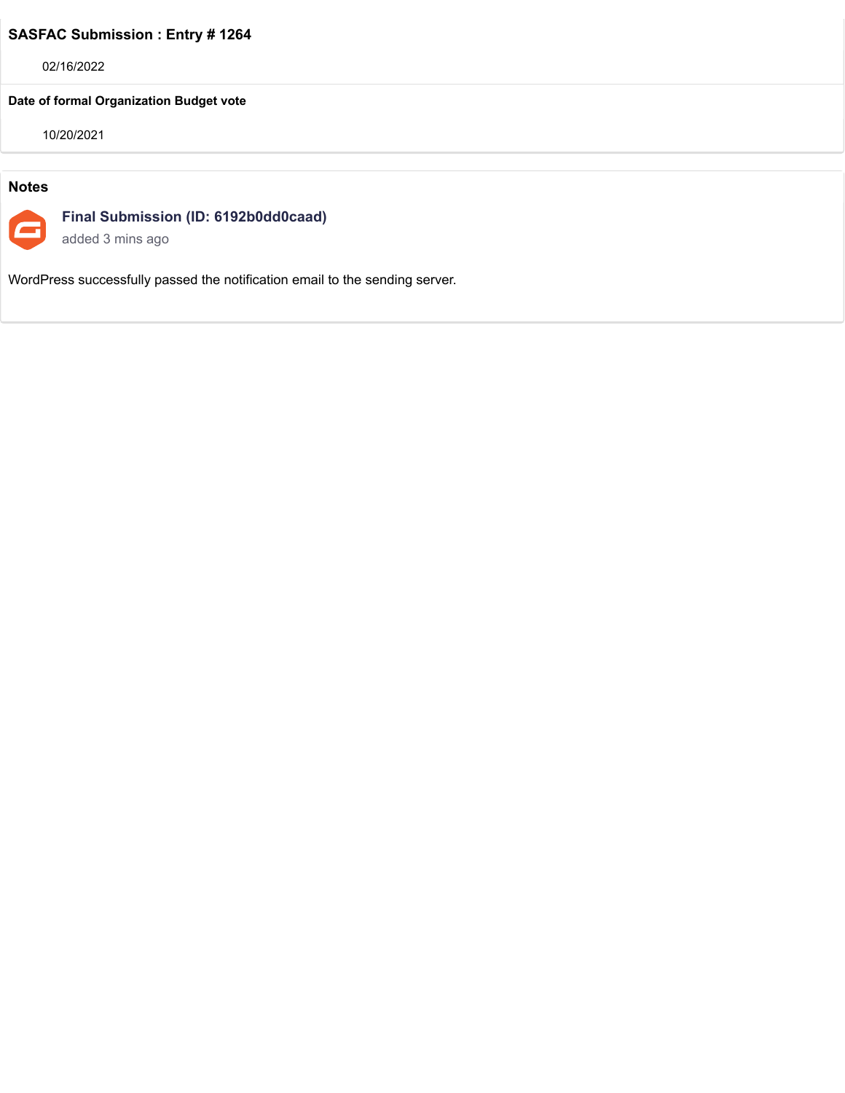02/16/2022

# **Date of formal Organization Budget vote**

10/20/2021

# **Notes**



**Final Submission (ID: 6192b0dd0caad)**

added 3 mins ago

WordPress successfully passed the notification email to the sending server.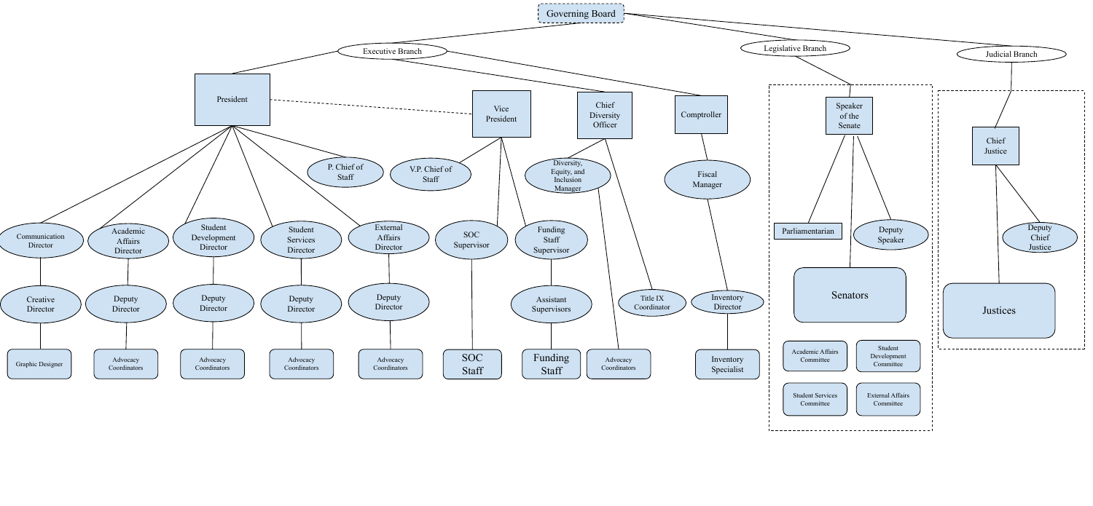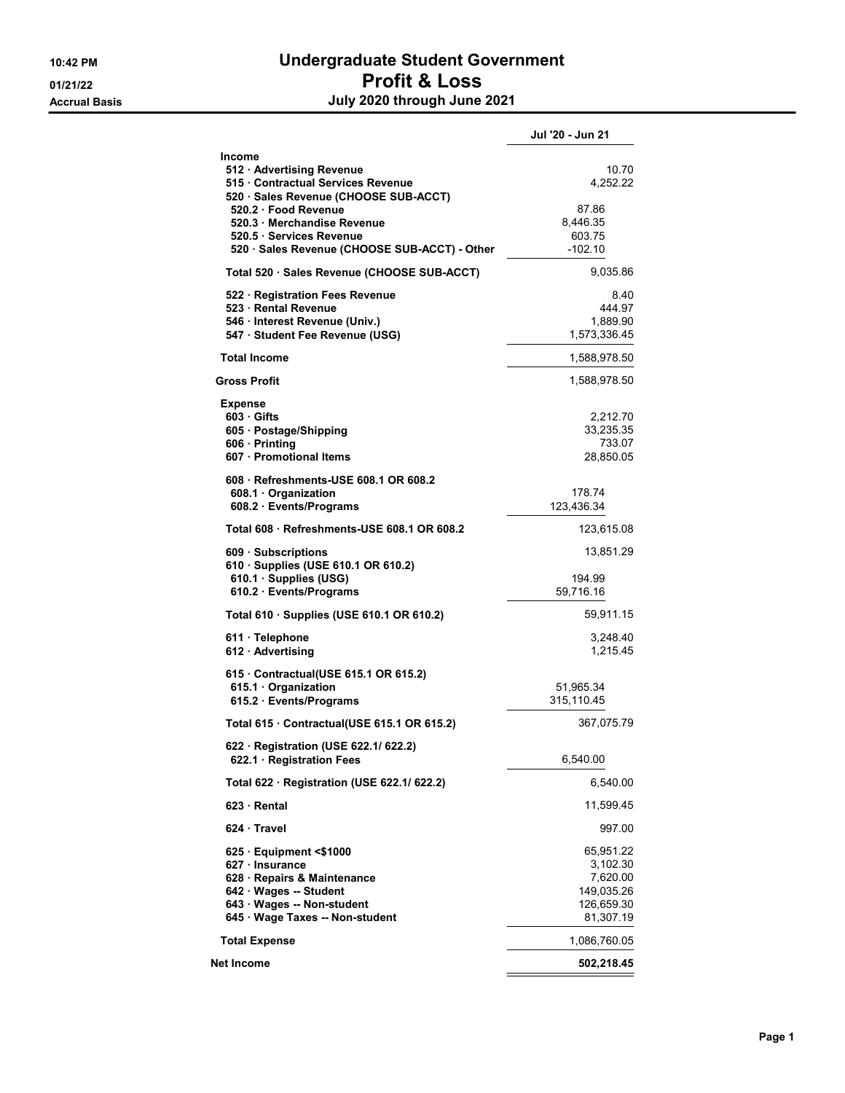# 10:42 PM Undergraduate Student Government 01/21/22 **Profit & Loss** Accrual Basis **Accrual Basis July 2020 through June 2021**

|                                                                                                                                                                                                                                                | Jul '20 - Jun 21                                                           |
|------------------------------------------------------------------------------------------------------------------------------------------------------------------------------------------------------------------------------------------------|----------------------------------------------------------------------------|
| Income<br>512 · Advertising Revenue<br>515 Contractual Services Revenue<br>520 · Sales Revenue (CHOOSE SUB-ACCT)<br>520.2 Food Revenue<br>520.3 Merchandise Revenue<br>520.5 Services Revenue<br>520 · Sales Revenue (CHOOSE SUB-ACCT) - Other | 10.70<br>4,252.22<br>87.86<br>8,446.35<br>603.75<br>$-102.10$              |
| Total 520 · Sales Revenue (CHOOSE SUB-ACCT)                                                                                                                                                                                                    | 9,035.86                                                                   |
| 522 · Registration Fees Revenue<br>523 Rental Revenue<br>546 · Interest Revenue (Univ.)<br>547 · Student Fee Revenue (USG)                                                                                                                     | 8.40<br>444.97<br>1,889.90<br>1,573,336.45                                 |
| <b>Total Income</b>                                                                                                                                                                                                                            | 1,588,978.50                                                               |
| <b>Gross Profit</b>                                                                                                                                                                                                                            | 1,588,978.50                                                               |
| <b>Expense</b><br>603 Gifts<br>605 · Postage/Shipping<br>606 · Printing<br>607 · Promotional Items                                                                                                                                             | 2,212.70<br>33.235.35<br>733.07<br>28,850.05                               |
| 608 Refreshments-USE 608.1 OR 608.2<br>608.1 Organization<br>608.2 Events/Programs                                                                                                                                                             | 178.74<br>123,436.34                                                       |
| Total 608 Refreshments-USE 608.1 OR 608.2                                                                                                                                                                                                      | 123,615.08                                                                 |
| 609 · Subscriptions<br>610 · Supplies (USE 610.1 OR 610.2)<br>610.1 · Supplies (USG)<br>610.2 · Events/Programs                                                                                                                                | 13,851.29<br>194.99<br>59,716.16                                           |
| Total 610 · Supplies (USE 610.1 OR 610.2)                                                                                                                                                                                                      | 59,911.15                                                                  |
| $611 \cdot$ Telephone<br>612 Advertising                                                                                                                                                                                                       | 3,248.40<br>1,215.45                                                       |
| 615 · Contractual(USE 615.1 OR 615.2)<br>615.1 · Organization<br>615.2 · Events/Programs                                                                                                                                                       | 51,965.34<br>315,110.45                                                    |
| Total 615 Contractual(USE 615.1 OR 615.2)                                                                                                                                                                                                      | 367,075.79                                                                 |
| 622 · Registration (USE 622.1/ 622.2)<br>622.1 Registration Fees                                                                                                                                                                               | 6,540.00                                                                   |
| Total 622 · Registration (USE 622.1/ 622.2)                                                                                                                                                                                                    | 6,540.00                                                                   |
| $623 \cdot$ Rental                                                                                                                                                                                                                             | 11,599.45                                                                  |
| 624 Travel                                                                                                                                                                                                                                     | 997.00                                                                     |
| $625$ · Equipment <\$1000<br>627 · Insurance<br>628 · Repairs & Maintenance<br>642 · Wages -- Student<br>643 · Wages -- Non-student<br>645 · Wage Taxes -- Non-student                                                                         | 65,951.22<br>3,102.30<br>7,620.00<br>149,035.26<br>126,659.30<br>81,307.19 |
| <b>Total Expense</b>                                                                                                                                                                                                                           | 1,086,760.05                                                               |
| Net Income                                                                                                                                                                                                                                     | 502,218.45                                                                 |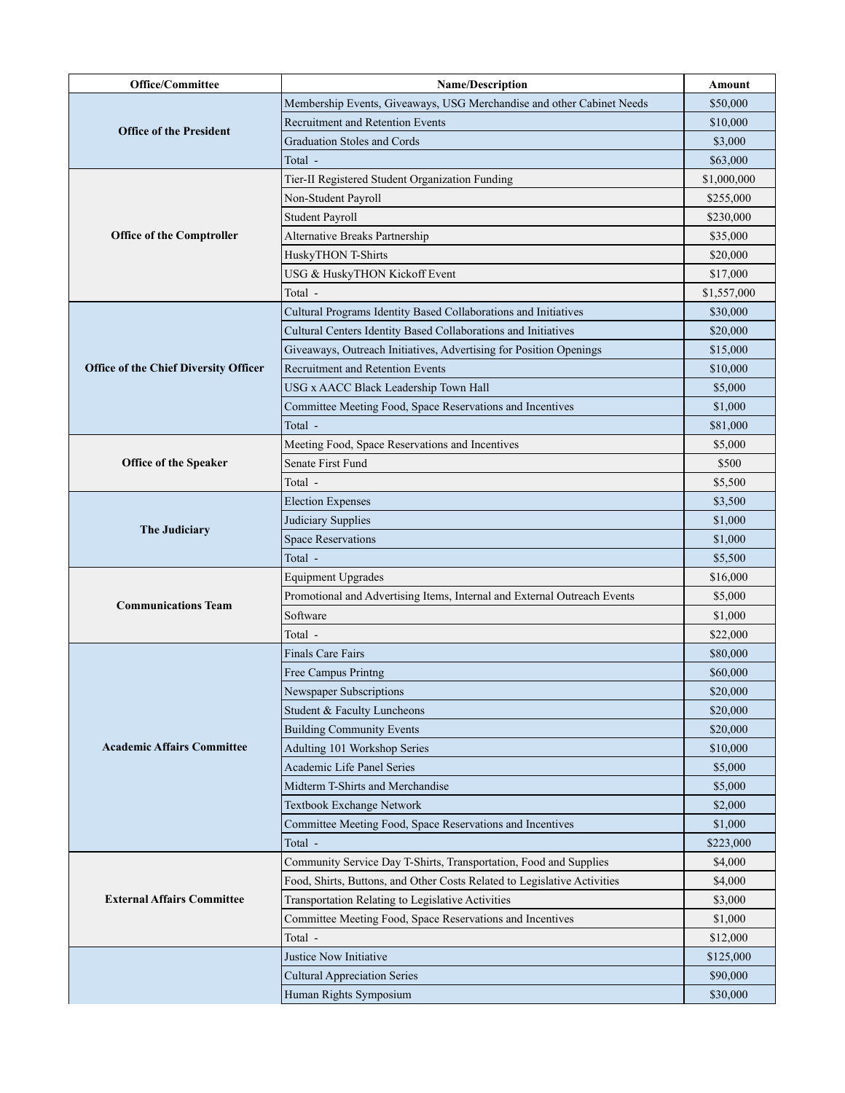| <b>Office/Committee</b>                      | <b>Name/Description</b>                                                  | Amount      |
|----------------------------------------------|--------------------------------------------------------------------------|-------------|
|                                              | Membership Events, Giveaways, USG Merchandise and other Cabinet Needs    | \$50,000    |
|                                              | <b>Recruitment and Retention Events</b>                                  | \$10,000    |
| <b>Office of the President</b>               | <b>Graduation Stoles and Cords</b>                                       | \$3,000     |
|                                              | Total -                                                                  | \$63,000    |
|                                              | Tier-II Registered Student Organization Funding                          | \$1,000,000 |
|                                              | Non-Student Payroll                                                      | \$255,000   |
|                                              | Student Payroll                                                          | \$230,000   |
| <b>Office of the Comptroller</b>             | Alternative Breaks Partnership                                           | \$35,000    |
|                                              | HuskyTHON T-Shirts                                                       | \$20,000    |
|                                              | USG & HuskyTHON Kickoff Event                                            | \$17,000    |
|                                              | Total -                                                                  | \$1,557,000 |
|                                              | Cultural Programs Identity Based Collaborations and Initiatives          | \$30,000    |
|                                              | Cultural Centers Identity Based Collaborations and Initiatives           | \$20,000    |
|                                              | Giveaways, Outreach Initiatives, Advertising for Position Openings       | \$15,000    |
| <b>Office of the Chief Diversity Officer</b> | <b>Recruitment and Retention Events</b>                                  | \$10,000    |
|                                              | USG x AACC Black Leadership Town Hall                                    | \$5,000     |
|                                              | Committee Meeting Food, Space Reservations and Incentives                | \$1,000     |
|                                              | Total -                                                                  | \$81,000    |
|                                              | Meeting Food, Space Reservations and Incentives                          | \$5,000     |
| <b>Office of the Speaker</b>                 | Senate First Fund                                                        | \$500       |
|                                              | Total -                                                                  | \$5,500     |
|                                              | <b>Election Expenses</b>                                                 | \$3,500     |
|                                              | Judiciary Supplies                                                       | \$1,000     |
| The Judiciary                                | <b>Space Reservations</b>                                                | \$1,000     |
|                                              | Total -                                                                  | \$5,500     |
|                                              | <b>Equipment Upgrades</b>                                                | \$16,000    |
| <b>Communications Team</b>                   | Promotional and Advertising Items, Internal and External Outreach Events | \$5,000     |
|                                              | Software                                                                 | \$1,000     |
|                                              | Total -                                                                  | \$22,000    |
|                                              | <b>Finals Care Fairs</b>                                                 | \$80,000    |
|                                              | Free Campus Printng                                                      | \$60,000    |
| <b>Academic Affairs Committee</b>            | Newspaper Subscriptions                                                  | \$20,000    |
|                                              | Student & Faculty Luncheons                                              | \$20,000    |
|                                              | <b>Building Community Events</b>                                         | \$20,000    |
|                                              | Adulting 101 Workshop Series                                             | \$10,000    |
|                                              | Academic Life Panel Series                                               | \$5,000     |
|                                              | Midterm T-Shirts and Merchandise                                         | \$5,000     |
|                                              | Textbook Exchange Network                                                | \$2,000     |
|                                              | Committee Meeting Food, Space Reservations and Incentives                | \$1,000     |
|                                              | Total -                                                                  | \$223,000   |
|                                              | Community Service Day T-Shirts, Transportation, Food and Supplies        | \$4,000     |
|                                              | Food, Shirts, Buttons, and Other Costs Related to Legislative Activities | \$4,000     |
| <b>External Affairs Committee</b>            | Transportation Relating to Legislative Activities                        | \$3,000     |
|                                              | Committee Meeting Food, Space Reservations and Incentives                | \$1,000     |
|                                              | Total -                                                                  | \$12,000    |
|                                              | Justice Now Initiative                                                   | \$125,000   |
|                                              | <b>Cultural Appreciation Series</b>                                      | \$90,000    |
|                                              | Human Rights Symposium                                                   | \$30,000    |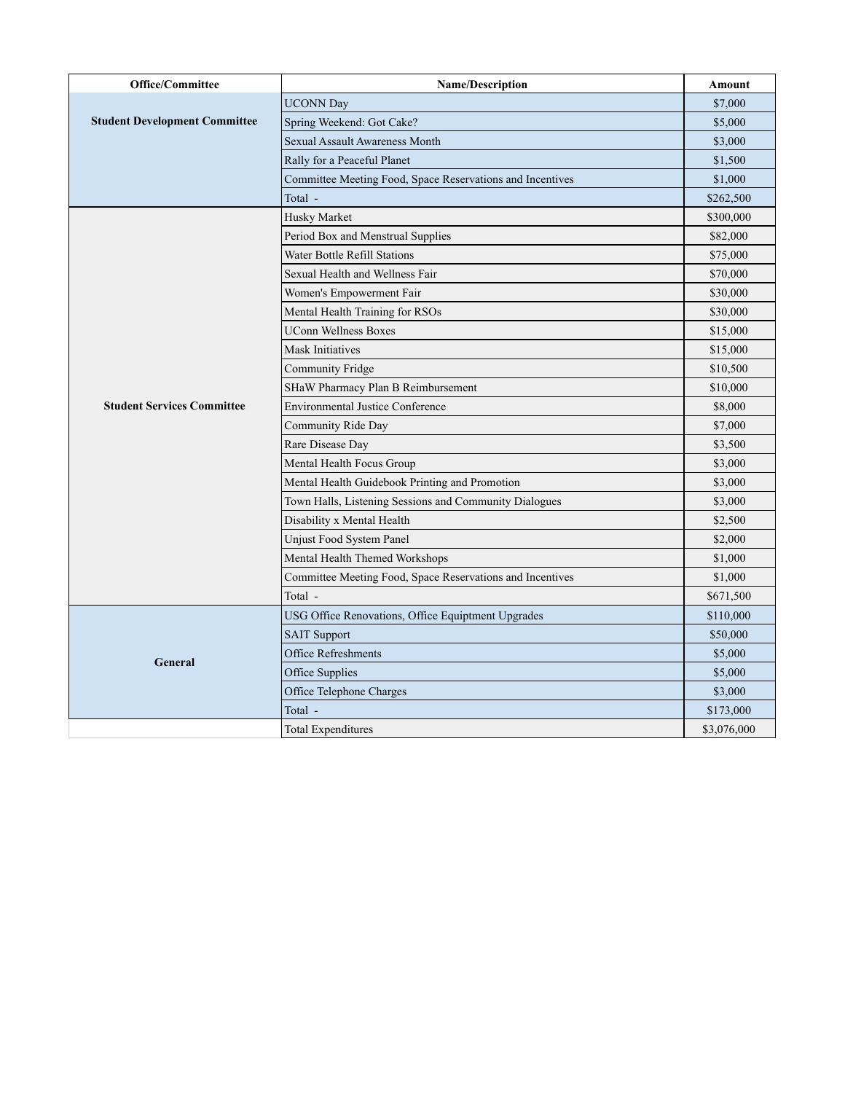| <b>Office/Committee</b>                      | <b>Name/Description</b>                                   | Amount      |
|----------------------------------------------|-----------------------------------------------------------|-------------|
| <b>Student Development Committee</b>         | <b>UCONN Day</b>                                          | \$7,000     |
|                                              | Spring Weekend: Got Cake?                                 | \$5,000     |
|                                              | <b>Sexual Assault Awareness Month</b>                     | \$3,000     |
|                                              | Rally for a Peaceful Planet                               | \$1,500     |
|                                              | Committee Meeting Food, Space Reservations and Incentives | \$1,000     |
|                                              | Total -                                                   | \$262,500   |
|                                              | Husky Market                                              | \$300,000   |
|                                              | Period Box and Menstrual Supplies                         | \$82,000    |
| <b>Student Services Committee</b><br>General | Water Bottle Refill Stations                              | \$75,000    |
|                                              | Sexual Health and Wellness Fair                           | \$70,000    |
|                                              | Women's Empowerment Fair                                  | \$30,000    |
|                                              | Mental Health Training for RSOs                           | \$30,000    |
|                                              | <b>UConn Wellness Boxes</b>                               | \$15,000    |
|                                              | <b>Mask Initiatives</b>                                   | \$15,000    |
|                                              | <b>Community Fridge</b>                                   | \$10,500    |
|                                              | SHaW Pharmacy Plan B Reimbursement                        | \$10,000    |
|                                              | <b>Environmental Justice Conference</b>                   | \$8,000     |
|                                              | Community Ride Day                                        | \$7,000     |
|                                              | Rare Disease Day                                          | \$3,500     |
|                                              | Mental Health Focus Group                                 | \$3,000     |
|                                              | Mental Health Guidebook Printing and Promotion            | \$3,000     |
|                                              | Town Halls, Listening Sessions and Community Dialogues    | \$3,000     |
|                                              | Disability x Mental Health                                | \$2,500     |
|                                              | <b>Unjust Food System Panel</b>                           | \$2,000     |
|                                              | Mental Health Themed Workshops                            | \$1,000     |
|                                              | Committee Meeting Food, Space Reservations and Incentives | \$1,000     |
|                                              | Total -                                                   | \$671,500   |
|                                              | USG Office Renovations, Office Equiptment Upgrades        | \$110,000   |
|                                              | <b>SAIT Support</b>                                       | \$50,000    |
|                                              | <b>Office Refreshments</b>                                | \$5,000     |
|                                              | Office Supplies                                           | \$5,000     |
|                                              | Office Telephone Charges                                  | \$3,000     |
|                                              | Total -                                                   | \$173,000   |
|                                              | <b>Total Expenditures</b>                                 | \$3,076,000 |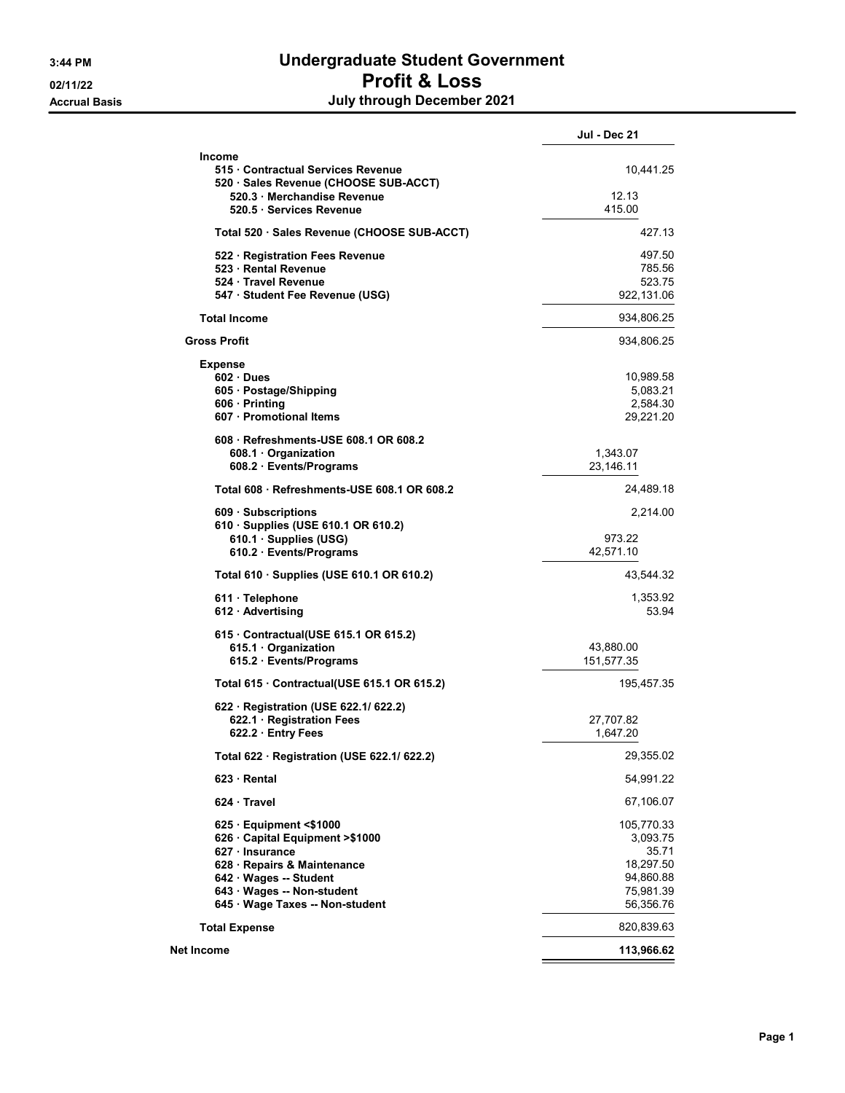# 3:44 PM Undergraduate Student Government 02/11/22 **Profit & Loss** Accrual Basis **Accrual Basis July through December 2021**

| <b>Jul - Dec 21</b>                                                                                                                                                                                                                                                                                                                                                                                                                                                                                                                                                                                                                                                                                                                                                                                                                                                                                           |
|---------------------------------------------------------------------------------------------------------------------------------------------------------------------------------------------------------------------------------------------------------------------------------------------------------------------------------------------------------------------------------------------------------------------------------------------------------------------------------------------------------------------------------------------------------------------------------------------------------------------------------------------------------------------------------------------------------------------------------------------------------------------------------------------------------------------------------------------------------------------------------------------------------------|
| 10,441.25                                                                                                                                                                                                                                                                                                                                                                                                                                                                                                                                                                                                                                                                                                                                                                                                                                                                                                     |
| 12.13<br>415.00                                                                                                                                                                                                                                                                                                                                                                                                                                                                                                                                                                                                                                                                                                                                                                                                                                                                                               |
| 427.13                                                                                                                                                                                                                                                                                                                                                                                                                                                                                                                                                                                                                                                                                                                                                                                                                                                                                                        |
| 497.50<br>785.56<br>523.75                                                                                                                                                                                                                                                                                                                                                                                                                                                                                                                                                                                                                                                                                                                                                                                                                                                                                    |
| 934,806.25                                                                                                                                                                                                                                                                                                                                                                                                                                                                                                                                                                                                                                                                                                                                                                                                                                                                                                    |
| 934,806.25                                                                                                                                                                                                                                                                                                                                                                                                                                                                                                                                                                                                                                                                                                                                                                                                                                                                                                    |
|                                                                                                                                                                                                                                                                                                                                                                                                                                                                                                                                                                                                                                                                                                                                                                                                                                                                                                               |
| 10,989.58<br>5,083.21<br>2,584.30<br>29,221.20                                                                                                                                                                                                                                                                                                                                                                                                                                                                                                                                                                                                                                                                                                                                                                                                                                                                |
| 1,343.07<br>23,146.11                                                                                                                                                                                                                                                                                                                                                                                                                                                                                                                                                                                                                                                                                                                                                                                                                                                                                         |
| 24,489.18                                                                                                                                                                                                                                                                                                                                                                                                                                                                                                                                                                                                                                                                                                                                                                                                                                                                                                     |
| 2,214.00<br>973.22                                                                                                                                                                                                                                                                                                                                                                                                                                                                                                                                                                                                                                                                                                                                                                                                                                                                                            |
| 43,544.32                                                                                                                                                                                                                                                                                                                                                                                                                                                                                                                                                                                                                                                                                                                                                                                                                                                                                                     |
| 1,353.92<br>53.94                                                                                                                                                                                                                                                                                                                                                                                                                                                                                                                                                                                                                                                                                                                                                                                                                                                                                             |
| 515 Contractual Services Revenue<br>520 Sales Revenue (CHOOSE SUB-ACCT)<br>520.3 · Merchandise Revenue<br>Total 520 · Sales Revenue (CHOOSE SUB-ACCT)<br>522 · Registration Fees Revenue<br>547 · Student Fee Revenue (USG)<br>922,131.06<br>608 Refreshments-USE 608.1 OR 608.2<br>Total 608 Refreshments-USE 608.1 OR 608.2<br>610 · Supplies (USE 610.1 OR 610.2)<br>42,571.10<br>Total 610 · Supplies (USE 610.1 OR 610.2)<br>615 Contractual (USE 615.1 OR 615.2)<br>43,880.00<br>151,577.35<br>195,457.35<br>Total 615 Contractual (USE 615.1 OR 615.2)<br>622 · Registration (USE 622.1/ 622.2)<br>27,707.82<br>1,647.20<br>29,355.02<br>Total 622 · Registration (USE 622.1/ 622.2)<br>54,991.22<br>67,106.07<br>105,770.33<br>626 Capital Equipment > \$1000<br>3,093.75<br>35.71<br>18,297.50<br>94,860.88<br>75,981.39<br>645 · Wage Taxes -- Non-student<br>56,356.76<br>820,839.63<br>113,966.62 |
|                                                                                                                                                                                                                                                                                                                                                                                                                                                                                                                                                                                                                                                                                                                                                                                                                                                                                                               |
|                                                                                                                                                                                                                                                                                                                                                                                                                                                                                                                                                                                                                                                                                                                                                                                                                                                                                                               |
|                                                                                                                                                                                                                                                                                                                                                                                                                                                                                                                                                                                                                                                                                                                                                                                                                                                                                                               |
|                                                                                                                                                                                                                                                                                                                                                                                                                                                                                                                                                                                                                                                                                                                                                                                                                                                                                                               |
|                                                                                                                                                                                                                                                                                                                                                                                                                                                                                                                                                                                                                                                                                                                                                                                                                                                                                                               |
|                                                                                                                                                                                                                                                                                                                                                                                                                                                                                                                                                                                                                                                                                                                                                                                                                                                                                                               |
|                                                                                                                                                                                                                                                                                                                                                                                                                                                                                                                                                                                                                                                                                                                                                                                                                                                                                                               |
|                                                                                                                                                                                                                                                                                                                                                                                                                                                                                                                                                                                                                                                                                                                                                                                                                                                                                                               |
|                                                                                                                                                                                                                                                                                                                                                                                                                                                                                                                                                                                                                                                                                                                                                                                                                                                                                                               |